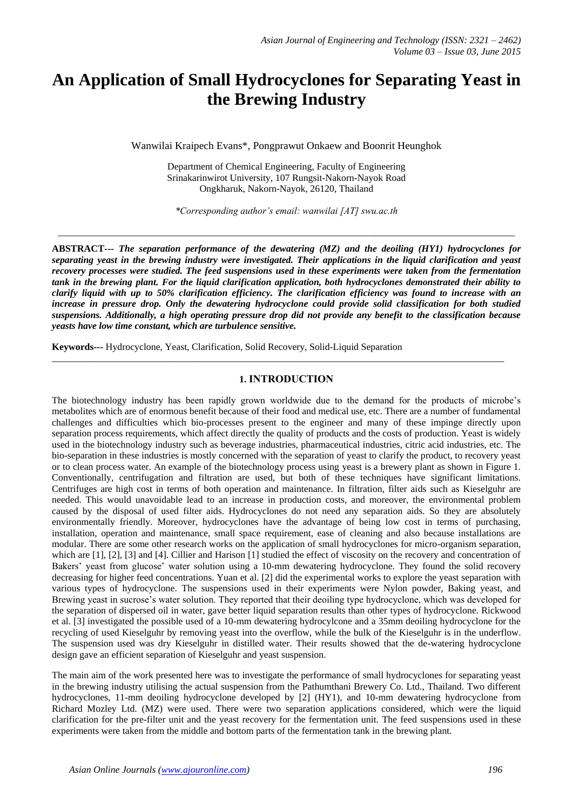# **An Application of Small Hydrocyclones for Separating Yeast in the Brewing Industry**

Wanwilai Kraipech Evans\*, Pongprawut Onkaew and Boonrit Heunghok

Department of Chemical Engineering, Faculty of Engineering Srinakarinwirot University, 107 Rungsit-Nakorn-Nayok Road Ongkharuk, Nakorn-Nayok, 26120, Thailand

*\*Corresponding author's email: wanwilai [AT] swu.ac.th* 

\_\_\_\_\_\_\_\_\_\_\_\_\_\_\_\_\_\_\_\_\_\_\_\_\_\_\_\_\_\_\_\_\_\_\_\_\_\_\_\_\_\_\_\_\_\_\_\_\_\_\_\_\_\_\_\_\_\_\_\_\_\_\_\_\_\_\_\_\_\_\_\_\_\_\_\_\_\_\_\_\_\_\_\_\_\_\_\_\_\_\_\_\_\_\_

**ABSTRACT---** *The separation performance of the dewatering (MZ) and the deoiling (HY1) hydrocyclones for separating yeast in the brewing industry were investigated. Their applications in the liquid clarification and yeast recovery processes were studied. The feed suspensions used in these experiments were taken from the fermentation tank in the brewing plant. For the liquid clarification application, both hydrocyclones demonstrated their ability to clarify liquid with up to 50% clarification efficiency. The clarification efficiency was found to increase with an increase in pressure drop. Only the dewatering hydrocyclone could provide solid classification for both studied suspensions. Additionally, a high operating pressure drop did not provide any benefit to the classification because yeasts have low time constant, which are turbulence sensitive.*

**Keywords---** Hydrocyclone, Yeast, Clarification, Solid Recovery, Solid-Liquid Separation

#### **1. INTRODUCTION**

\_\_\_\_\_\_\_\_\_\_\_\_\_\_\_\_\_\_\_\_\_\_\_\_\_\_\_\_\_\_\_\_\_\_\_\_\_\_\_\_\_\_\_\_\_\_\_\_\_\_\_\_\_\_\_\_\_\_\_\_\_\_\_\_\_\_\_\_\_\_\_\_\_\_\_\_\_\_\_\_\_\_\_\_\_\_\_\_\_\_\_\_\_\_

The biotechnology industry has been rapidly grown worldwide due to the demand for the products of microbe's metabolites which are of enormous benefit because of their food and medical use, etc. There are a number of fundamental challenges and difficulties which bio-processes present to the engineer and many of these impinge directly upon separation process requirements, which affect directly the quality of products and the costs of production. Yeast is widely used in the biotechnology industry such as beverage industries, pharmaceutical industries, citric acid industries, etc. The bio-separation in these industries is mostly concerned with the separation of yeast to clarify the product, to recovery yeast or to clean process water. An example of the biotechnology process using yeast is a brewery plant as shown in Figure 1. Conventionally, centrifugation and filtration are used, but both of these techniques have significant limitations. Centrifuges are high cost in terms of both operation and maintenance. In filtration, filter aids such as Kieselguhr are needed. This would unavoidable lead to an increase in production costs, and moreover, the environmental problem caused by the disposal of used filter aids. Hydrocyclones do not need any separation aids. So they are absolutely environmentally friendly. Moreover, hydrocyclones have the advantage of being low cost in terms of purchasing, installation, operation and maintenance, small space requirement, ease of cleaning and also because installations are modular. There are some other research works on the application of small hydrocyclones for micro-organism separation, which are [1], [2], [3] and [4]. Cillier and Harison [1] studied the effect of viscosity on the recovery and concentration of Bakers' yeast from glucose' water solution using a 10-mm dewatering hydrocyclone. They found the solid recovery decreasing for higher feed concentrations. Yuan et al. [2] did the experimental works to explore the yeast separation with various types of hydrocyclone. The suspensions used in their experiments were Nylon powder, Baking yeast, and Brewing yeast in sucrose's water solution. They reported that their deoiling type hydrocyclone, which was developed for the separation of dispersed oil in water, gave better liquid separation results than other types of hydrocyclone. Rickwood et al. [3] investigated the possible used of a 10-mm dewatering hydrocylcone and a 35mm deoiling hydrocyclone for the recycling of used Kieselguhr by removing yeast into the overflow, while the bulk of the Kieselguhr is in the underflow. The suspension used was dry Kieselguhr in distilled water. Their results showed that the de-watering hydrocyclone design gave an efficient separation of Kieselguhr and yeast suspension.

The main aim of the work presented here was to investigate the performance of small hydrocyclones for separating yeast in the brewing industry utilising the actual suspension from the Pathumthani Brewery Co. Ltd., Thailand. Two different hydrocyclones, 11-mm deoiling hydrocyclone developed by [2] (HY1), and 10-mm dewatering hydrocyclone from Richard Mozley Ltd. (MZ) were used. There were two separation applications considered, which were the liquid clarification for the pre-filter unit and the yeast recovery for the fermentation unit. The feed suspensions used in these experiments were taken from the middle and bottom parts of the fermentation tank in the brewing plant.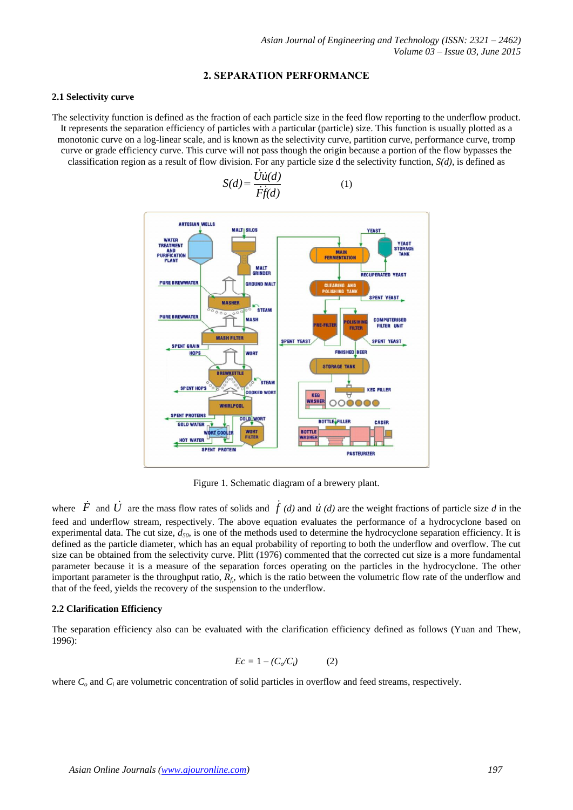#### **2. SEPARATION PERFORMANCE**

#### **2.1 Selectivity curve**

The selectivity function is defined as the fraction of each particle size in the feed flow reporting to the underflow product. It represents the separation efficiency of particles with a particular (particle) size. This function is usually plotted as a monotonic curve on a log-linear scale, and is known as the selectivity curve, partition curve, performance curve, tromp curve or grade efficiency curve. This curve will not pass though the origin because a portion of the flow bypasses the classification region as a result of flow division. For any particle size d the selectivity function, *S(d)*, is defined as



Figure 1. Schematic diagram of a brewery plant.

where  $\dot{F}$  and  $\dot{U}$  are the mass flow rates of solids and  $\dot{f}(d)$  and  $\dot{u}(d)$  are the weight fractions of particle size *d* in the feed and underflow stream, respectively. The above equation evaluates the performance of a hydrocyclone based on experimental data. The cut size, *d50*, is one of the methods used to determine the hydrocyclone separation efficiency. It is defined as the particle diameter, which has an equal probability of reporting to both the underflow and overflow. The cut size can be obtained from the selectivity curve. Plitt (1976) commented that the corrected cut size is a more fundamental parameter because it is a measure of the separation forces operating on the particles in the hydrocyclone. The other important parameter is the throughput ratio, *Rf,*, which is the ratio between the volumetric flow rate of the underflow and that of the feed, yields the recovery of the suspension to the underflow.

#### **2.2 Clarification Efficiency**

The separation efficiency also can be evaluated with the clarification efficiency defined as follows (Yuan and Thew, 1996):

$$
Ec = 1 - (C_o/C_i)
$$
 (2)

where  $C<sub>o</sub>$  and  $C<sub>i</sub>$  are volumetric concentration of solid particles in overflow and feed streams, respectively.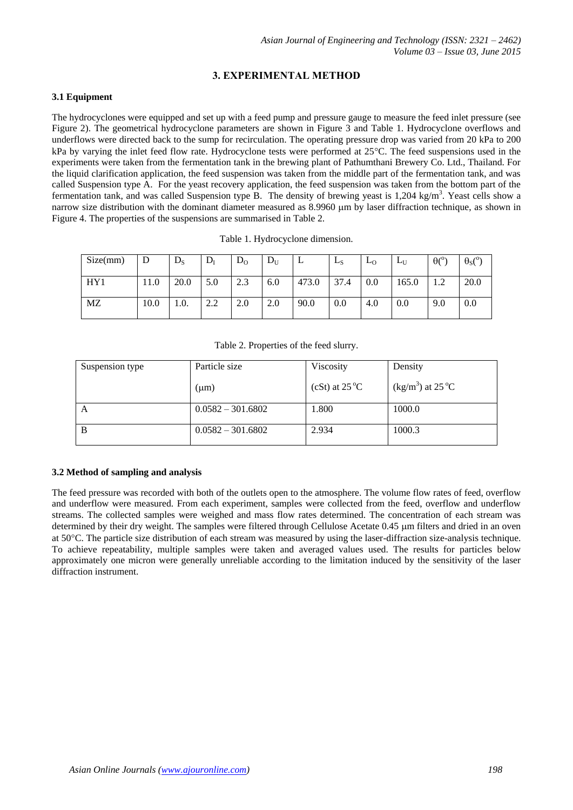# **3. EXPERIMENTAL METHOD**

#### **3.1 Equipment**

The hydrocyclones were equipped and set up with a feed pump and pressure gauge to measure the feed inlet pressure (see Figure 2). The geometrical hydrocyclone parameters are shown in Figure 3 and Table 1. Hydrocyclone overflows and underflows were directed back to the sump for recirculation. The operating pressure drop was varied from 20 kPa to 200 kPa by varying the inlet feed flow rate. Hydrocyclone tests were performed at 25C. The feed suspensions used in the experiments were taken from the fermentation tank in the brewing plant of Pathumthani Brewery Co. Ltd., Thailand. For the liquid clarification application, the feed suspension was taken from the middle part of the fermentation tank, and was called Suspension type A. For the yeast recovery application, the feed suspension was taken from the bottom part of the fermentation tank, and was called Suspension type B. The density of brewing yeast is 1,204 kg/m<sup>3</sup>. Yeast cells show a narrow size distribution with the dominant diameter measured as 8.9960 µm by laser diffraction technique, as shown in Figure 4. The properties of the suspensions are summarised in Table 2.

| Size(mm) | D    | $D_{S}$ | $D_{I}$ | $D_0$ | $D_U$ | ∸     | LS   | L <sub>0</sub> | L∐    | $\theta$ <sup>o</sup> ) | $\sqrt{0}$<br>$\theta$ s( |
|----------|------|---------|---------|-------|-------|-------|------|----------------|-------|-------------------------|---------------------------|
| HY1      | 11.0 | 20.0    | 5.0     | 2.3   | 6.0   | 473.0 | 37.4 | 0.0            | 165.0 |                         | 20.0                      |
| MZ       | 10.0 | 1.0.    | 2.2     | 2.0   | 2.0   | 90.0  | 0.0  | 4.0            | 0.0   | 9.0                     | 0.0                       |

Table 1. Hydrocyclone dimension.

Table 2. Properties of the feed slurry.

| Suspension type | Particle size       | Viscosity               | Density                                 |  |
|-----------------|---------------------|-------------------------|-----------------------------------------|--|
|                 | (µm)                | (cSt) at $25^{\circ}$ C | $\frac{\text{kg}}{\text{m}^3}$ at 25 °C |  |
| A               | $0.0582 - 301.6802$ | 1.800                   | 1000.0                                  |  |
| B               | $0.0582 - 301.6802$ | 2.934                   | 1000.3                                  |  |

#### **3.2 Method of sampling and analysis**

The feed pressure was recorded with both of the outlets open to the atmosphere. The volume flow rates of feed, overflow and underflow were measured. From each experiment, samples were collected from the feed, overflow and underflow streams. The collected samples were weighed and mass flow rates determined. The concentration of each stream was determined by their dry weight. The samples were filtered through Cellulose Acetate 0.45 um filters and dried in an oven at 50C. The particle size distribution of each stream was measured by using the laser-diffraction size-analysis technique. To achieve repeatability, multiple samples were taken and averaged values used. The results for particles below approximately one micron were generally unreliable according to the limitation induced by the sensitivity of the laser diffraction instrument.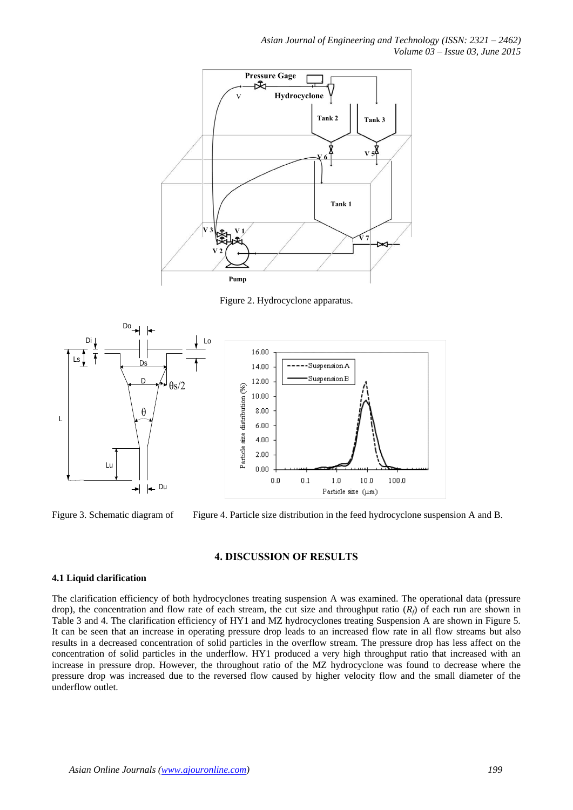*Asian Journal of Engineering and Technology (ISSN: 2321 – 2462) Volume 03 – Issue 03, June 2015*



Figure 2. Hydrocyclone apparatus.



Figure 3. Schematic diagram of Figure 4. Particle size distribution in the feed hydrocyclone suspension A and B.

### **4. DISCUSSION OF RESULTS**

#### **4.1 Liquid clarification**

The clarification efficiency of both hydrocyclones treating suspension A was examined. The operational data (pressure drop), the concentration and flow rate of each stream, the cut size and throughput ratio  $(R_f)$  of each run are shown in Table 3 and 4. The clarification efficiency of HY1 and MZ hydrocyclones treating Suspension A are shown in Figure 5. It can be seen that an increase in operating pressure drop leads to an increased flow rate in all flow streams but also results in a decreased concentration of solid particles in the overflow stream. The pressure drop has less affect on the concentration of solid particles in the underflow. HY1 produced a very high throughput ratio that increased with an increase in pressure drop. However, the throughout ratio of the MZ hydrocyclone was found to decrease where the pressure drop was increased due to the reversed flow caused by higher velocity flow and the small diameter of the underflow outlet.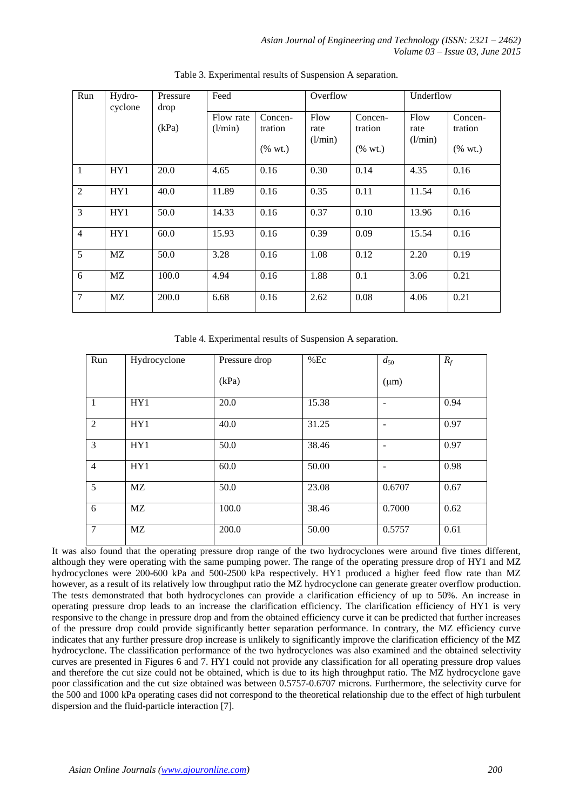| Run            | Hydro-<br>cyclone | Pressure<br>drop | Feed      |            | Overflow |                          | Underflow |            |
|----------------|-------------------|------------------|-----------|------------|----------|--------------------------|-----------|------------|
|                |                   |                  | Flow rate | Concen-    | Flow     | Concen-                  | Flow      | Concen-    |
|                |                   | (kPa)            | (l/min)   | tration    | rate     | tration                  | rate      | tration    |
|                |                   |                  |           | $(\%$ wt.) | (l/min)  | $(% \mathbf{A})$ (% wt.) | (l/min)   | $(\%$ wt.) |
| $\mathbf{1}$   | HY1               | 20.0             | 4.65      | 0.16       | 0.30     | 0.14                     | 4.35      | 0.16       |
| $\overline{2}$ | HY1               | 40.0             | 11.89     | 0.16       | 0.35     | 0.11                     | 11.54     | 0.16       |
| 3              | HY1               | 50.0             | 14.33     | 0.16       | 0.37     | 0.10                     | 13.96     | 0.16       |
| $\overline{4}$ | HY1               | 60.0             | 15.93     | 0.16       | 0.39     | 0.09                     | 15.54     | 0.16       |
| 5              | MZ                | 50.0             | 3.28      | 0.16       | 1.08     | 0.12                     | 2.20      | 0.19       |
| 6              | MZ                | 100.0            | 4.94      | 0.16       | 1.88     | 0.1                      | 3.06      | 0.21       |
| 7              | MZ                | 200.0            | 6.68      | 0.16       | 2.62     | 0.08                     | 4.06      | 0.21       |

Table 3. Experimental results of Suspension A separation.

Table 4. Experimental results of Suspension A separation.

| Run             | Hydrocyclone | Pressure drop | $%$ Ec | $d_{50}$  | $R_f$ |
|-----------------|--------------|---------------|--------|-----------|-------|
|                 |              | (kPa)         |        | $(\mu m)$ |       |
| $\mathbf{1}$    | HY1          | 20.0          | 15.38  | ۰         | 0.94  |
| 2               | HY1          | 40.0          | 31.25  | ۰         | 0.97  |
| 3               | HY1          | 50.0          | 38.46  | ۰         | 0.97  |
| $\overline{4}$  | HY1          | 60.0          | 50.00  | -         | 0.98  |
| 5               | MZ           | 50.0          | 23.08  | 0.6707    | 0.67  |
| 6               | MZ           | 100.0         | 38.46  | 0.7000    | 0.62  |
| $7\phantom{.0}$ | MZ           | 200.0         | 50.00  | 0.5757    | 0.61  |

It was also found that the operating pressure drop range of the two hydrocyclones were around five times different, although they were operating with the same pumping power. The range of the operating pressure drop of HY1 and MZ hydrocyclones were 200-600 kPa and 500-2500 kPa respectively. HY1 produced a higher feed flow rate than MZ however, as a result of its relatively low throughput ratio the MZ hydrocyclone can generate greater overflow production. The tests demonstrated that both hydrocyclones can provide a clarification efficiency of up to 50%. An increase in operating pressure drop leads to an increase the clarification efficiency. The clarification efficiency of HY1 is very responsive to the change in pressure drop and from the obtained efficiency curve it can be predicted that further increases of the pressure drop could provide significantly better separation performance. In contrary, the MZ efficiency curve indicates that any further pressure drop increase is unlikely to significantly improve the clarification efficiency of the MZ hydrocyclone. The classification performance of the two hydrocyclones was also examined and the obtained selectivity curves are presented in Figures 6 and 7. HY1 could not provide any classification for all operating pressure drop values and therefore the cut size could not be obtained, which is due to its high throughput ratio. The MZ hydrocyclone gave poor classification and the cut size obtained was between 0.5757-0.6707 microns. Furthermore, the selectivity curve for the 500 and 1000 kPa operating cases did not correspond to the theoretical relationship due to the effect of high turbulent dispersion and the fluid-particle interaction [7].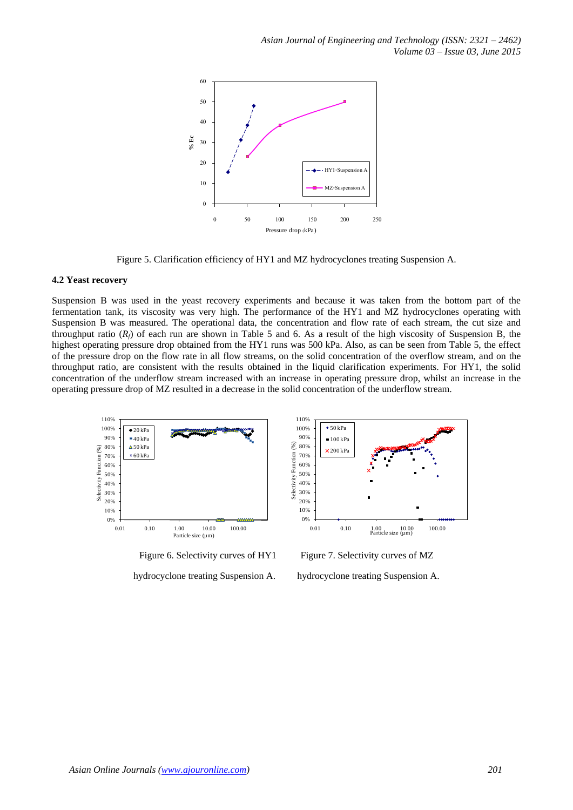

Figure 5. Clarification efficiency of HY1 and MZ hydrocyclones treating Suspension A.

#### **4.2 Yeast recovery**

Suspension B was used in the yeast recovery experiments and because it was taken from the bottom part of the fermentation tank, its viscosity was very high. The performance of the HY1 and MZ hydrocyclones operating with Suspension B was measured. The operational data, the concentration and flow rate of each stream, the cut size and throughput ratio  $(R_f)$  of each run are shown in Table 5 and 6. As a result of the high viscosity of Suspension B, the highest operating pressure drop obtained from the HY1 runs was 500 kPa. Also, as can be seen from Table 5, the effect of the pressure drop on the flow rate in all flow streams, on the solid concentration of the overflow stream, and on the throughput ratio, are consistent with the results obtained in the liquid clarification experiments. For HY1, the solid concentration of the underflow stream increased with an increase in operating pressure drop, whilst an increase in the operating pressure drop of MZ resulted in a decrease in the solid concentration of the underflow stream.





 $\bullet$  50 kPa

Figure 6. Selectivity curves of HY1 Figure 7. Selectivity curves of MZ

hydrocyclone treating Suspension A. hydrocyclone treating Suspension A.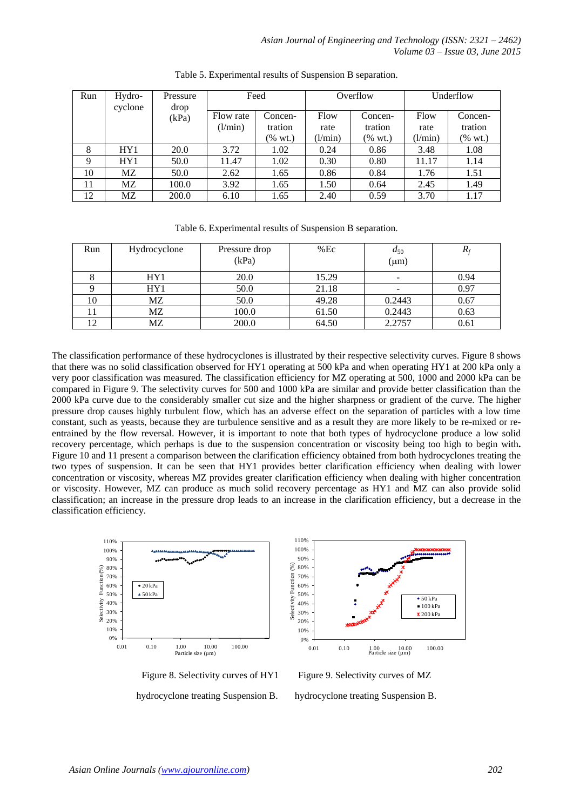| Run | Hydro-<br>cyclone | Pressure<br>drop | Feed      |         | Overflow |            | Underflow |         |
|-----|-------------------|------------------|-----------|---------|----------|------------|-----------|---------|
|     |                   | (kPa)            | Flow rate | Concen- | Flow     | Concen-    | Flow      | Concen- |
|     |                   |                  | (l/min)   | tration | rate     | tration    | rate      | tration |
|     |                   |                  |           | (% wt.) | (l/min)  | $(\%$ wt.) | (l/min)   | (% wt.) |
| 8   | HY1               | 20.0             | 3.72      | 1.02    | 0.24     | 0.86       | 3.48      | 1.08    |
| 9   | HY1               | 50.0             | 11.47     | 1.02    | 0.30     | 0.80       | 11.17     | 1.14    |
| 10  | МZ                | 50.0             | 2.62      | 1.65    | 0.86     | 0.84       | 1.76      | 1.51    |
| 11  | MZ.               | 100.0            | 3.92      | 1.65    | 1.50     | 0.64       | 2.45      | 1.49    |
| 12  | МZ                | 200.0            | 6.10      | 1.65    | 2.40     | 0.59       | 3.70      | 1.17    |

Table 5. Experimental results of Suspension B separation.

| Run | Hydrocyclone | Pressure drop | $%$ Ec | $a_{50}$  | $\mathbf{I}$ |
|-----|--------------|---------------|--------|-----------|--------------|
|     |              | (kPa)         |        | $(\mu m)$ |              |
|     | HY1          | 20.0          | 15.29  |           | 0.94         |
|     | HY1          | 50.0          | 21.18  |           | 0.97         |
| 10  | MZ           | 50.0          | 49.28  | 0.2443    | 0.67         |
|     | MZ           | 100.0         | 61.50  | 0.2443    | 0.63         |
| 12  | MΖ           | 200.0         | 64.50  | 2.2757    | 0.61         |

The classification performance of these hydrocyclones is illustrated by their respective selectivity curves. Figure 8 shows that there was no solid classification observed for HY1 operating at 500 kPa and when operating HY1 at 200 kPa only a very poor classification was measured. The classification efficiency for MZ operating at 500, 1000 and 2000 kPa can be compared in Figure 9. The selectivity curves for 500 and 1000 kPa are similar and provide better classification than the 2000 kPa curve due to the considerably smaller cut size and the higher sharpness or gradient of the curve. The higher pressure drop causes highly turbulent flow, which has an adverse effect on the separation of particles with a low time constant, such as yeasts, because they are turbulence sensitive and as a result they are more likely to be re-mixed or reentrained by the flow reversal. However, it is important to note that both types of hydrocyclone produce a low solid recovery percentage, which perhaps is due to the suspension concentration or viscosity being too high to begin with**.** Figure 10 and 11 present a comparison between the clarification efficiency obtained from both hydrocyclones treating the two types of suspension. It can be seen that HY1 provides better clarification efficiency when dealing with lower concentration or viscosity, whereas MZ provides greater clarification efficiency when dealing with higher concentration or viscosity. However, MZ can produce as much solid recovery percentage as HY1 and MZ can also provide solid classification; an increase in the pressure drop leads to an increase in the clarification efficiency, but a decrease in the classification efficiency.



hydrocyclone treating Suspension B. hydrocyclone treating Suspension B.



Figure 8. Selectivity curves of HY1 Figure 9. Selectivity curves of MZ